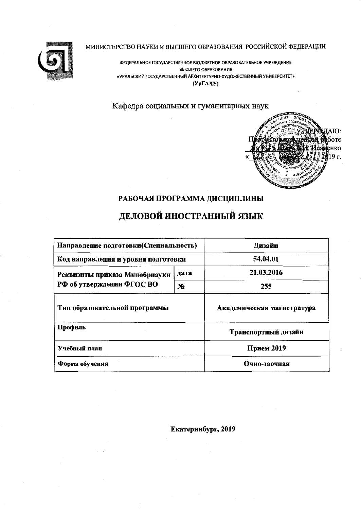МИНИСТЕРСТВО НАУКИ И ВЫСШЕГО ОБРАЗОВАНИЯ РОССИЙСКОЙ ФЕДЕРАЦИИ



ФЕДЕРАЛЬНОЕ ГОСУДАРСТВЕННОЕ БЮДЖЕТНОЕ ОБРАЗОВАТЕЛЬНОЕ УЧРЕЖДЕНИЕ ВЫСШЕГО ОБРАЗОВАНИЯ «УРАЛЬСКИЙ ГОСУДАРСТВЕННЫЙ АРХИТЕКТУРНО-ХУДОЖЕСТВЕННЫЙ УНИВЕРСИТЕТ»  $(Yp\Gamma A X Y)$ 

Кафедра социальных и гуманитарных наук



# РАБОЧАЯ ПРОГРАММА ДИСЦИПЛИНЫ

# ДЕЛОВОЙ ИНОСТРАННЫЙ ЯЗЫК

| Направление подготовки(Специальность) | Дизайн                     |            |  |  |
|---------------------------------------|----------------------------|------------|--|--|
| Код направления и уровня подготовки   | 54.04.01                   |            |  |  |
| Реквизиты приказа Минобрнауки         | дата                       | 21.03.2016 |  |  |
| РФ об утвержденин ФГОС ВО             | $N_2$                      | 255        |  |  |
| Тип образовательной программы         | Академическая магнстратура |            |  |  |
| Профиль                               | Транспортный дизайн        |            |  |  |
| Учебный план                          | Прием 2019                 |            |  |  |
| Форма обучения                        | Очно-заочная               |            |  |  |

Екатеринбург, 2019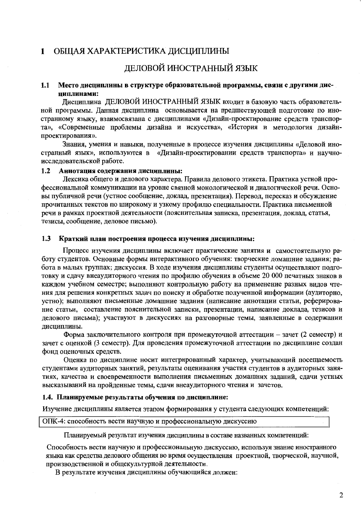#### $\blacksquare$ ОБШАЯ ХАРАКТЕРИСТИКА ДИСЦИПЛИНЫ

# ЛЕЛОВОЙ ИНОСТРАННЫЙ ЯЗЫК

#### $1.1$ Место дисциплины в структуре образовательной программы, связи с другими диспиплинами:

Дисциплина ДЕЛОВОЙ ИНОСТРАННЫЙ ЯЗЫК входит в базовую часть образовательной программы. Данная дисциплина основывается на предшествующей подготовке по иностранному языку, взаимосвязана с дисциплинами «Дизайн-проектирование средств транспорта», «Современные проблемы дизайна и искусства», «История и методология дизайнпроектирования».

Знания, умения и навыки, полученные в процессе изучения дисциплины «Деловой иностранный язык», используются в «Дизайн-проектировании средств транспорта» и научноисследовательской работе.

#### $1.2$ Аннотация содержания дисциплины:

Лексика общего и делового характера. Правила делового этикета. Практика устной профессиональной коммуникации на уровне связной монологической и диалогической речи. Основы публичной речи (устное сообщение, доклад, презентация). Перевод, пересказ и обсуждение прочитанных текстов по широкому и узкому профилю специальности. Практика письменной речи в рамках проектной деятельности (пояснительная записка, презентация, доклад, статья, тезисы, сообщение, деловое письмо).

#### 1.3 Краткий план построения процесса изучения дисциплины:

Процесс изучения дисциплины включает практические занятия и самостоятельную работу студентов. Основные формы интерактивного обучения: творческие домашние задания; работа в малых группах; дискуссия. В ходе изучения дисциплины студенты осуществляют подготовку и сдачу внеаудиторного чтения по профилю обучения в объеме 20 000 печатных знаков в каждом учебном семестре; выполняют контрольную работу на применение разных видов чтения для решения конкретных задач по поиску и обработке полученной информации (аудиторно, устно); выполняют письменные домашние задания (написание аннотации статьи, реферирование статьи, составление пояснительной записки, презентации, написание доклада, тезисов и делового письма); участвуют в дискуссиях на разговорные темы, заявленные в содержании дисциплины.

Форма заключительного контроля при промежуточной аттестации - зачет (2 семестр) и зачет с оценкой (3 семестр). Для проведения промежуточной аттестации по дисциплине создан фонд оценочных средств.

Оценка по дисциплине носит интегрированный характер, учитывающий посещаемость студентами аудиторных занятий, результаты оценивания участия студентов в аудиторных занятиях, качества и своевременности выполнения письменных домашних заданий, сдачи устных высказываний на пройденные темы, сдачи внеаудиторного чтения и зачетов.

#### 1.4. Планируемые результаты обучения по днециплине:

Изучение дисциплины является этапом формирования у студента следующих компетенций:

ОПК-4: способность вести научную и профессиональную дискуссию

Планируемый результат изучения дисциплины в составе названных компетенций:

Способность вести научную и профессиональную дискуссию, используя знание иностранного языка как средства делового общения во время осуществления проектной, творческой, научной, производственной и общекультурной деятельности.

В результате изучения дисциплины обучающийся должен: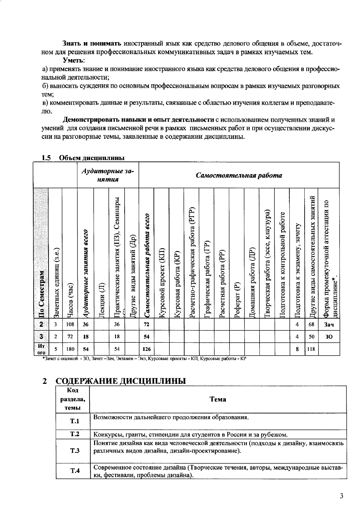Знать и понимать иностранный язык как средство делового общения в объеме, достаточном для решения профессиональных коммуникативных задач в рамках изучаемых тем. Уметь:

а) применять знание и понимание иностранного языка как средства делового общения в профессиональной деятельности;

б) выносить суждения по основным профессиональным вопросам в рамках изучаемых разговорных Tem;

в) комментировать данные и результаты, связанные с областью изучения коллегам и преподавателю.

Демонстрировать навыки и опыт деятельности с использованием полученных знаний и умений для создания письменной речи в рамках письменных работ и при осуществлении дискуссии на разговорные темы, заявленные в содержании дисциплины.

|                         |                              |                      |                          | нятия       | Аудиторные за-                             |                             | Самостоятельная работа       |                             |                           |                                   |                        |                       |              |                            |                                       |                                 |                                     |                                     |                                                     |
|-------------------------|------------------------------|----------------------|--------------------------|-------------|--------------------------------------------|-----------------------------|------------------------------|-----------------------------|---------------------------|-----------------------------------|------------------------|-----------------------|--------------|----------------------------|---------------------------------------|---------------------------------|-------------------------------------|-------------------------------------|-----------------------------------------------------|
| По Семестрам            | (3.e.)<br>единиц<br>Зачетных | $rac{1}{2}$<br>Часов | Аудиторные занятия всего | E<br>Лекции | Семинары<br>занятия (113),<br>Практические | виды занятий (Др)<br>Пругие | Самостоятельная работа всего | (KIT)<br>проект<br>Курсовой | (E)<br>работа<br>Курсовая | Расчетно-графическая работа (PГР) | рафическая работа (ГР) | Расчетная работа (PP) | ව<br>Реферат | (HP)<br>работа<br>Домашняя | работа (эссе, клаузура)<br>Гворческая | Подготовка к контрольной работе | зачету<br>экзамену,<br>Подготовка к | Другие виды самостоятельных занятий | аттестации по<br>Форма промежуточной<br>дисциплине* |
| $\overline{\mathbf{2}}$ | 3                            | 108                  | 36                       |             | 36                                         |                             | 72                           |                             |                           |                                   |                        |                       |              |                            |                                       |                                 | $\overline{\mathbf{4}}$             | 68                                  | <b>Зач</b>                                          |
| $\overline{\mathbf{3}}$ | $\overline{2}$               | 72                   | 18                       |             | 18                                         |                             | 54                           |                             |                           |                                   |                        |                       |              |                            |                                       |                                 | 4                                   | 50                                  | 30                                                  |
| Ит<br>oro               | 5                            | 180                  | 54                       |             | 54                                         |                             | 126                          |                             |                           |                                   |                        |                       |              |                            |                                       |                                 | 8                                   | 118                                 |                                                     |

#### $1.5$ Объем дисциплины

\*Зачет с оценкой - 30, Зачет-Зач, Экзамен-Экз, Курсовые проекты - КП, Курсовые работы - КР

#### СОДЕРЖАНИЕ ДИСЦИПЛИНЫ  $\overline{2}$

| Код<br>раздела,<br>темы | Тема                                                                                                                                   |
|-------------------------|----------------------------------------------------------------------------------------------------------------------------------------|
| T.1                     | Возможности дальнейшего продолжения образования.                                                                                       |
| T.2                     | Конкурсы, гранты, стипендии для студентов в России и за рубежом.                                                                       |
| <b>T.3</b>              | Понятие дизайна как вида человеческой деятельности (подходы к дизайну, взаимосвязь<br>различных видов дизайна, дизайн-проектирование). |
| T.4                     | Современное состояние дизайна (Творческие течения, авторы, международные выстав-<br>ки, фестивали, проблемы дизайна).                  |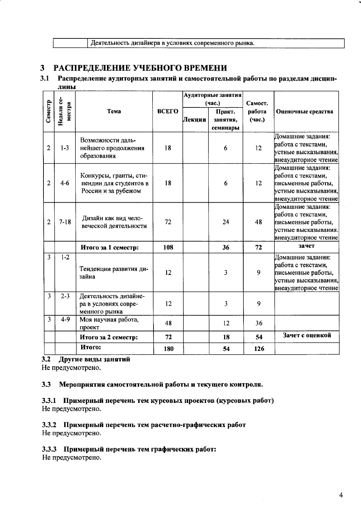Деятельность дизайнера в условиях современного рынка.

#### РАСПРЕДЕЛЕНИЕ УЧЕБНОГО ВРЕМЕНИ  $3<sup>1</sup>$

#### $3.1$ Распределение аудиторных занятий и самостоятельной работы по разделам дисциплины

|                |                      |                                                                         |       | Аудиторные занятия<br>(час.)             |                         | Самост.          |                                                                                                               |
|----------------|----------------------|-------------------------------------------------------------------------|-------|------------------------------------------|-------------------------|------------------|---------------------------------------------------------------------------------------------------------------|
| Семестр        | Неделя се-<br>местра | Тема                                                                    | ВСЕГО | Практ.<br>Лекции<br>занятия,<br>семинары |                         | работа<br>(час.) | Оценочные средства                                                                                            |
| $\overline{2}$ | $1-3$                | Возможности даль-<br>нейшего продолжения<br>образования                 | 18    |                                          | 6                       | 12               | Домашние задания:<br>работа с текстами,<br>устные высказывания,<br>внеаудиторное чтение                       |
| $\overline{2}$ | $4-6$                | Конкурсы, гранты, сти-<br>пендии для студентов в<br>России и за рубежом | 18    |                                          | 6                       | 12               | Домашние задания:<br>работа с текстами,<br>письменные работы,<br>устные высказывания,<br>внеаудиторное чтение |
| $\overline{2}$ | $7 - 18$             | Дизайн как вид чело-<br>веческой деятельности                           | 72    |                                          | 24                      | 48               | Домашние задания:<br>работа с текстами,<br>письменные работы,<br>устные высказывания.<br>внеаудиторное чтение |
|                |                      | Итого за 1 семестр:                                                     | 108   |                                          | 36                      | 72               | зачет                                                                                                         |
| $\overline{3}$ | $1 - 2$              | Тенденции развития ди-<br>зайна                                         | 12    |                                          | $\overline{\mathbf{3}}$ | 9                | Домашние задания:<br>работа с текстами,<br>письменные работы,<br>устные высказывания,<br>внеаудиторное чтение |
| 3              | $2 - 3$              | Деятельность дизайне-<br>ра в условиях совре-<br>менного рынка          | 12    |                                          | 3                       | 9                |                                                                                                               |
| 3              | $4 - 9$              | Моя научная работа,<br>проект                                           | 48    |                                          | 12                      | 36               |                                                                                                               |
|                |                      | Итого за 2 семестр:                                                     | 72    |                                          | 18                      | 54               | Зачет с оценкой                                                                                               |
|                |                      | Итого:                                                                  | 180   |                                          | 54                      | 126              |                                                                                                               |

 $3\overline{.2}$ Другие виды занятий

Не предусмотрено.

 $3.3$ Мероприятия самостоятельной работы и текущего коитроля.

3.3.1 Примерный перечень тем курсовых проектов (курсовых работ) Не предусмотрено.

3.3.2 Примерный перечень тем расчетно-графических работ

Не предусмотрено.

3.3.3 Примерный перечень тем графических работ:

Не предусмотрено.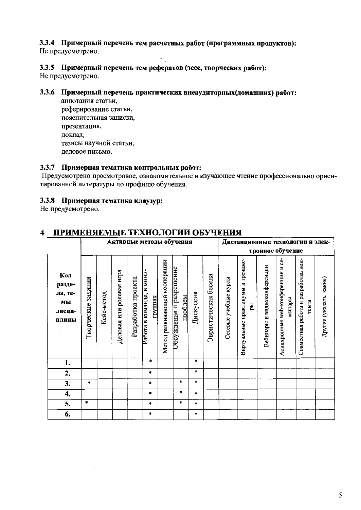# 3.3.4 Примерный перечень тем расчетиых работ (программных продуктов):

Не предусмотрено.

### 3.3.5 Примерный перечень тем рефератов (эссе, творческих работ): Не предусмотрено.

 $3.3.6$ Примерный перечень практических внеаудиторных (домашних) работ:

аннотация статьи, реферирование статьи. пояснительная записка. презентация, доклад, тезисы научной статьи, деловое письмо.

# 3.3.7 Примерная тематика контрольных работ:

Предусмотрено просмотровое, ознакомительное и изучающее чтение профессионально ориентированной литературы по профилю обучения.

# 3.3.8 Примерная тематика клаузур:

Не предусмотрено.

#### Активные методы обучения Дистанционные технологии и электронное обучение Асинхронные web-конференции и се-Виртуальные практикумы и треиаже-Совместная работа и разработка кон-Метод развивающей кооперации Вебинары и видеоконференции Обсуждение и разрешение Деловая или ролевая игра Работа в команде, в мини-Код Эвристическая беседа Разработка проекта Сетевые учебные курсы Гворческие задания Другие (указать, какие) раздела, те-Кейс-метод Дискуссия группах проблем минары тента МЫ  $\overline{a}$ дисциплины  $\overline{\ast}$  $\overline{\ast}$ 1. ¥  $\overline{2}$ .  $\pmb{\ast}$  $\overline{\ast}$  $\overline{\cdot}$  $3.$  $\ast$  $\pmb{\ast}$  $\overline{\ast}$  $\overline{4}$ .  $\star$  $\ast$  $\overline{\phantom{a}}$  $\overline{5}$ .  $\ast$  $\pmb{\ast}$  $\pmb{\ast}$ 6.  $\pmb{\ast}$  $\pmb{\ast}$

#### $\overline{\mathbf{4}}$ ПРИМЕНЯЕМЫЕ ТЕХНОЛОГИИ ОБУЧЕНИЯ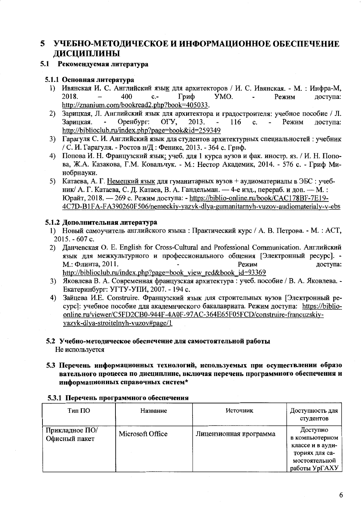#### УЧЕБНО-МЕТОДИЧЕСКОЕ И ИНФОРМАЦИОННОЕ ОБЕСПЕЧЕНИЕ  $\mathbf{5}$ ДИСЦИПЛИНЫ

### 5.1 Рекомендуемая литература

### 5.1.1 Основная литература

- 1) Ивянская И. С. Английский язык для архитекторов / И. С. Ивянская. М. : Инфра-М, 2018. 400  $c -$ Гриф YMO. Режим доступа: http://znanium.com/bookread2.php?book=405033.
- 2) Зарицкая, Л. Английский язык для архитектора и градостроителя: учебное пособие / Л. Зарицкая. Оренбург: ОГУ, 2013.  $\mathcal{L}^{\pm}$ 116  $\mathbf{c}$ .  $\mathbf{r}$ Режим доступа: http://biblioclub.ru/index.php?page=book&id=259349
- 3) Гарагуля С. И. Английский язык для студентов архитектурных специальностей: учебник / С. И. Гарагуля. - Ростов н/Д: Феникс, 2013. - 364 с. Гриф.
- 4) Попова И. Н. Французский язык: учеб. для 1 курса вузов и фак. иностр. яз. / И. Н. Попова, Ж.А. Казакова, Г.М. Ковальчук. - М.: Нестор Академик, 2014. - 576 с. - Гриф Минобрнауки.
- 5) Катаева, А. Г. Немецкий язык для гуманитарных вузов + аудиоматериалы в ЭБС: учебник/ А. Г. Катаева, С. Д. Катаев, В. А. Гандельман. - 4-е изд., перераб. и доп. - М.: Юрайт, 2018. - 269 с. Режим доступа: - https://biblio-online.ru/book/CAC178BF-7E19-4C7D-B1FA-FA390260F506/nemeckiy-yazyk-dlya-gumanitarnyh-vuzov-audiomaterialy-v-ebs

### 5.1.2 Дополнительная литература

- 1) Новый самоучитель английского языка: Практический курс / А. В. Петрова. М.: АСТ, 2015. - 607 c.
- 2) Данчевская О. E. English for Cross-Cultural and Professional Communication. Английский язык для межкультурного и профессионального общения [Электронный ресурс]. -М.: Флинта, 2011. Режим доступа: http://biblioclub.ru/index.php?page=book view red&book id=93369
- 3) Яковлева В. А. Современная французская архитектура: учеб. пособие / В. А. Яковлева. -Екатеринбург: УГТУ-УПИ, 2007. - 194 с.
- Зайцева И.Е. Construire. Французский язык для строительных вузов [Электронный ре- $4)$ cypc]: учебное пособие для академического бакалавриата. Режим доступа: https://biblioonline.ru/viewer/C5FD2CB0-944F-4A0F-97AC-364E65F05FCD/construire-francuzskiyyazyk-dlya-stroitelnyh-vuzov#page/1

### 5.2 Учебно-методическое обеспечение для самостоятельной работы Не используется

5.3 Перечень информационных технологий, используемых при осуществлении образо вательного процесса по дисциплине, включая перечень программного обеспечения и информационных справочных систем\*

| Тип ПО                          | Название         | Источник               | Доступность для<br>студентов                                                                       |
|---------------------------------|------------------|------------------------|----------------------------------------------------------------------------------------------------|
| Прикладное ПО/<br>Офисный пакет | Microsoft Office | Лицензионная программа | Доступно<br>в компьютерном<br>классе и в ауди-<br>ториях для са-<br>мостоятельной<br>работы УрГАХУ |

#### 5.3.1 Перечень программного обеспечения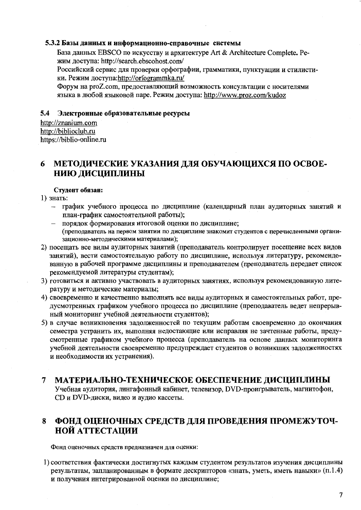### 5.3.2 Базы данных и информационно-справочные системы

База данных EBSCO по искусству и архитектуре Art & Architecture Complete. Peжим доступа: http://search.ebscohost.com/

Российский сервис для проверки орфографии, грамматики, пунктуации и стилистики. Режим лоступа:http://orfogrammka.ru/

Форум на proZ.com, предоставляющий возможность консультации с носителями языка в любой языковой паре. Режим доступа: http://www.proz.com/kudoz

### 5.4 Электронные образовательные ресурсы

http://znanium.com http://biblioclub.ru https://biblio-online.ru

#### МЕТОДИЧЕСКИЕ УКАЗАНИЯ ДЛЯ ОБУЧАЮЩИХСЯ ПО ОСВОЕ-6 НИЮ ЛИСЦИПЛИНЫ

#### Студент обязан:

1) знать:

- график учебного процесса по дисциплине (календарный план аудиторных занятий и план-график самостоятельной работы);
- порядок формирования итоговой оценки по дисциплине; (преподаватель на первом занятии по дисциплине знакомит студентов с перечисленными организационно-методическими материалами);
- 2) посещать все виды аудиторных занятий (преподаватель контролирует посещение всех видов занятий), вести самостоятельную работу по дисциплине, используя литературу, рекомендованную в рабочей программе дисциплины и преподавателем (преподаватель передает список рекомендуемой литературы студентам);
- 3) готовиться и активно участвовать в аудиторных занятиях, используя рекомендованную литературу и методические материалы;
- 4) своевременно и качественно выполнять все виды аудиторных и самостоятельных работ, предусмотренных графиком учебного процесса по дисциплине (преподаватель ведет непрерывный мониторинг учебной деятельности студентов);
- 5) в случае возникновения задолженностей по текущим работам своевременно до окончания семестра устранить их, выполняя недостающие или исправляя не зачтенные работы, предусмотренные графиком учебного процесса (преподаватель на основе данных мониторинга учебной деятельности своевременно предупреждает студентов о возникших задолженностях и необходимости их устранения).

#### 7 МАТЕРИАЛЬНО-ТЕХНИЧЕСКОЕ ОБЕСПЕЧЕНИЕ ДИСЦИПЛИНЫ

Учебная аудитория, лингафонный кабинет, телевизор, DVD-проигрыватель, магнитофон, CD и DVD-диски, видео и аудио кассеты.

#### ФОНД ОЦЕНОЧНЫХ СРЕДСТВ ДЛЯ ПРОВЕДЕНИЯ ПРОМЕЖУТОЧ-8 НОЙ АТТЕСТАЦИИ

Фонд оценочных средств предназначен для оценки:

1) соответствия фактически достигнутых каждым студентом результатов изучения дисциплины результатам, запланированным в формате дескрипторов «знать, уметь, иметь навыки» (п.1.4) и получения интегрированной оценки по дисциплине;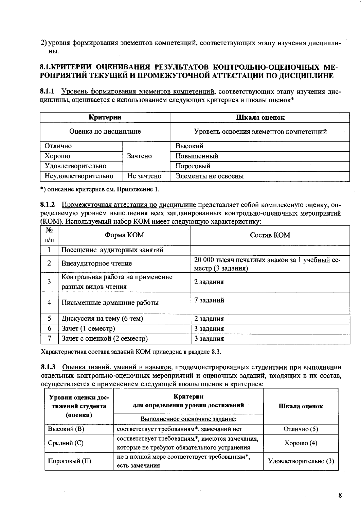2) уровня формирования элементов компетенций, соответствующих этапу изучения дисципли-HЫ.

# 8.1. КРИТЕРИИ ОЦЕНИВАНИЯ РЕЗУЛЬТАТОВ КОНТРОЛЬНО-ОЦЕНОЧНЫХ МЕ-РОПРИЯТИЙ ТЕКУЩЕЙ И ПРОМЕЖУТОЧНОЙ АТТЕСТАЦИИ ПО ДИСЦИПЛИНЕ

8.1.1 Уровень формирования элементов компетенций, соответствующих этапу изучения дисциплины, оценивается с использованием следующих критериев и шкалы оценок\*

| Критерии                          |         | Шкала оценок                           |  |  |  |
|-----------------------------------|---------|----------------------------------------|--|--|--|
| Оценка по дисциплине              |         | Уровень освоения элементов компетенций |  |  |  |
| Отлично                           |         | Высокий                                |  |  |  |
| Хорошо                            | Зачтено | Повышенный                             |  |  |  |
| Удовлетворительно                 |         | Пороговый                              |  |  |  |
| Неудовлетворительно<br>Не зачтено |         | Элементы не освоены                    |  |  |  |

\*) описание критериев см. Приложение 1.

8.1.2 Промежуточная аттестация по дисциплине представляет собой комплексную оценку, определяемую уровнем выполнения всех запланированных контрольно-оценочных мероприятий (КОМ). Используемый набор КОМ имеет следующую характеристику:

| N <sub>2</sub><br>$\Pi/\Pi$ | Форма КОМ                                               | Состав КОМ                                                         |  |  |  |  |
|-----------------------------|---------------------------------------------------------|--------------------------------------------------------------------|--|--|--|--|
|                             | Посещение аудиторных занятий                            |                                                                    |  |  |  |  |
| 2                           | Внеаудиторное чтение                                    | 20 000 тысяч печатных знаков за 1 учебный се-<br>местр (3 задания) |  |  |  |  |
| 3                           | Контрольная работа на применение<br>разных видов чтения | 2 задания                                                          |  |  |  |  |
| 4                           | Письменные домашние работы                              | 7 заданий                                                          |  |  |  |  |
| 5                           | Дискуссия на тему (6 тем)                               | 2 задания                                                          |  |  |  |  |
| 6                           | Зачет (1 семестр)                                       | 3 задания                                                          |  |  |  |  |
|                             | Зачет с оценкой (2 семестр)                             | 3 задания                                                          |  |  |  |  |

Характеристика состава заданий КОМ приведена в разделе 8.3.

8.1.3 Оценка знаний, умений и навыков, продемонстрированных студентами при выполнении отдельных контрольно-оценочных мероприятий и оценочных заданий, входящих в их состав, осуществляется с применением следующей шкалы оценок и критериев:

| Уровии оценки дос-<br>тижений студеита<br>(оценки) | Критерии<br>для определення уровня достижений                                                 | Шкала оценок          |  |
|----------------------------------------------------|-----------------------------------------------------------------------------------------------|-----------------------|--|
|                                                    | Выполненное оценочное задание:                                                                |                       |  |
| Высокий (В)                                        | соответствует требованиям*, замечаний нет                                                     | Отлично (5)           |  |
| Средний (С)                                        | соответствует требованиям*, имеются замечания,<br>которые не требуют обязательного устранения | Хорошо $(4)$          |  |
| Пороговый (П)                                      | не в полной мере соответствует требованиям*,<br>есть замечания                                | Удовлетворительно (3) |  |

8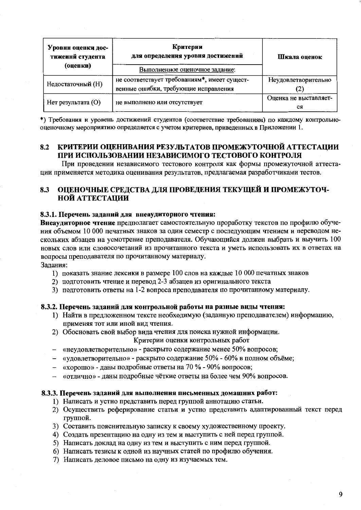| Уровни оценки дос-<br>тижеинй студента | Критерни<br>для определення уровня достижений | Шкала оценок          |  |  |
|----------------------------------------|-----------------------------------------------|-----------------------|--|--|
| (оценки)                               | Выполненное оценочное задание:                |                       |  |  |
| Недостаточный (Н)                      | не соответствует требованиям*, имеет сущест-  | Неудовлетворительно   |  |  |
|                                        | венные ошибки, требующие исправления          |                       |  |  |
|                                        |                                               | Оценка не выставляет- |  |  |
| Нет результата (O)                     | не выполнено или отсутствует                  | ся                    |  |  |

\*) Требования и уровень достижений студентов (соответствие требованиям) по каждому контрольнооценочному мероприятию определяется с учетом критериев, приведенных в Приложении 1.

#### КРИТЕРИИ ОЦЕНИВАНИЯ РЕЗУЛЬТАТОВ ПРОМЕЖУТОЧНОЙ АТТЕСТАЦИИ 8.2 ПРИ ИСПОЛЬЗОВАНИИ НЕЗАВИСИМОГО ТЕСТОВОГО КОНТРОЛЯ

При проведении независимого тестового контроля как формы промежуточной аттестации применяется методика оценивания результатов, предлагаемая разработчиками тестов.

#### ОЦЕНОЧНЫЕ СРЕДСТВА ДЛЯ ПРОВЕДЕНИЯ ТЕКУЩЕЙ И ПРОМЕЖУТОЧ-8.3 НОЙ АТТЕСТАЦИИ

# 8.3.1. Перечень заданий для внеаудиторного чтения:

Внеаудиторное чтение предполагает самостоятельную проработку текстов по профилю обучения объемом 10 000 печатных знаков за один семестр с последующим чтением и переводом нескольких абзацев на усмотрение преподавателя. Обучающийся должен выбрать и выучить 100 новых слов или словосочетаний из прочитанного текста и уметь использовать их в ответах на вопросы преподавателя по прочитанному материалу.

#### Задания:

- 1) показать знание лексики в размере 100 слов на каждые 10 000 печатных знаков
- 2) подготовить чтение и перевод 2-3 абзацев из оригинального текста
- 3) подготовить ответы на 1-2 вопроса преподавателя по прочитанному материалу.

#### 8.3.2. Перечень заданий для контрольной работы на разные виды чтения:

- 1) Найти в предложенном тексте необходимую (заданную преподавателем) информацию, применяя тот или иной вид чтения.
- 2) Обосновать свой выбор вида чтения для поиска нужной информации. Критерии оценки контрольных работ
- «неудовлетворительно» раскрыто содержание менее 50% вопросов;
- «удовлетворительно» раскрыто содержание 50% 60% в полном объёме;
- «хорошо» даны подробные ответы на 70 % 90% вопросов;
- «отлично» даны подробные чёткие ответы на более чем 90% вопросов.

#### 8.3.3. Перечень заданий для выполнения письменных домашних работ:

- 1) Написать и устно представить перед группой аннотацию статьи.
- 2) Осуществить реферирование статьи и устно представить адаптированный текст перед группой.
- 3) Составить пояснительную записку к своему художественному проекту.
- 4) Создать презентацию на одну из тем и выступить с ней перед группой.
- 5) Написать доклад на одну из тем и выступить с ним перед группой.
- 6) Написать тезисы к одной из научных статей по профилю обучения.
- 7) Написать деловое письмо на одну из изучаемых тем.

 $\mathbf Q$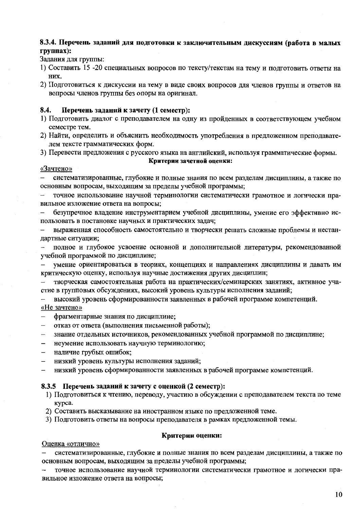# 8.3.4. Перечень заданий для подготовки к заключительным дискуссиям (работа в малых группах):

Задания для группы:

- 1) Составить 15 -20 специальных вопросов по тексту/текстам на тему и подготовить ответы на них.
- 2) Подготовиться к дискуссии на тему в виде своих вопросов для членов группы и ответов на вопросы членов группы без опоры на оригинал.

#### Перечень заданий к зачету (1 семестр): 8.4.

- 1) Подготовить диалог с преподавателем на одну из пройденных в соответствующем учебном семестре тем.
- 2) Найти, определить и объяснить необходимость употребления в предложенном преподавателем тексте грамматических форм.
- 3) Перевести предложения с русского языка на английский, используя грамматические формы. Критерии зачетной оценки:

### «Зачтено»

систематизированные, глубокие и полные знания по всем разделам дисциплины, а также по основным вопросам, выходящим за пределы учебной программы;

точное использование научной терминологии систематически грамотное и логически правильное изложение ответа на вопросы;

безупречное владение инструментарием учебной дисциплины, умение его эффективно использовать в постановке научных и практических задач;

выраженная способность самостоятельно и творчески решать сложные проблемы и нестандартные ситуации;

полное и глубокое усвоение основной и дополнительной литературы, рекомендованной учебной программой по дисциплине;

умение ориентироваться в теориях, концепциях и направлениях дисциплины и давать им критическую оценку, используя научные достижения других дисциплин;

творческая самостоятельная работа на практических/семинарских занятиях, активное участие в групповых обсуждениях, высокий уровень культуры исполнения заданий;

высокий уровень сформированности заявленных в рабочей программе компетенций.

### «Не зачтено»

- фрагментарные знания по дисциплине;
- отказ от ответа (выполнения письменной работы);
- знание отдельных источников, рекомендованных учебной программой по дисциплине;
- неумение использовать научную терминологию;
- наличие грубых ошибок;
- низкий уровень культуры исполнения заданий;
- низкий уровень сформированности заявленных в рабочей программе компетенций.

### 8.3.5 Перечень заданий к зачету с оценкой (2 семестр):

- 1) Подготовиться к чтению, переводу, участию в обсуждении с преподавателем текста по теме курса.
- 2) Составить высказывание на иностранном языке по предложенной теме.
- 3) Подготовить ответы на вопросы преподавателя в рамках предложенной темы.

#### Критерии оценки:

Оценка «отлично»

систематизированные, глубокие и полные знания по всем разделам дисциплины, а также по основным вопросам, выходящим за пределы учебной программы;

точное использование научной терминологии систематически грамотное и логически правильное изложение ответа на вопросы;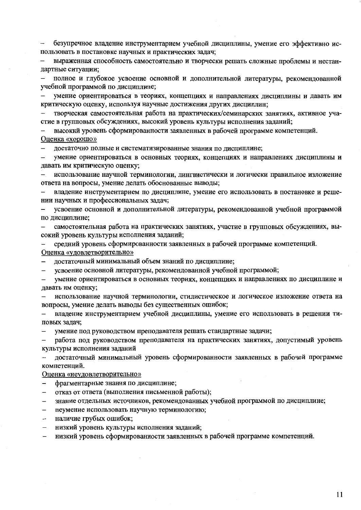безупречное владение инструментарием учебной дисциплины, умение его эффективно использовать в постановке научных и практических задач:

выраженная способность самостоятельно и творчески решать сложные проблемы и нестандартные ситуации;

полное и глубокое усвоение основной и дополнительной литературы, рекомендованной учебной программой по дисциплине;

умение ориентироваться в теориях, концепциях и направлениях дисциплины и давать им критическую оценку, используя научные достижения других дисциплин;

творческая самостоятельная работа на практических/семинарских занятиях, активное участие в групповых обсуждениях, высокий уровень культуры исполнения заданий;

высокий уровень сформированности заявленных в рабочей программе компетенций. Оценка «хорошо»

достаточно полные и систематизированные знания по дисциплине;

умение ориентироваться в основных теориях, концепциях и направлениях дисциплины и давать им критическую оценку;

использование научной терминологии, лингвистически и логически правильное изложение ответа на вопросы, умение делать обоснованные выводы;

владение инструментарием по дисциплине, умение его использовать в постановке и решении научных и профессиональных задач;

усвоение основной и дополнительной литературы, рекомендованной учебной программой по дисциплине;

самостоятельная работа на практических занятиях, участие в групповых обсуждениях, высокий уровень культуры исполнения заданий;

средний уровень сформированности заявленных в рабочей программе компетенций.

Оценка «удовлетворительно»

достаточный минимальный объем знаний по дисциплине;

усвоение основной литературы, рекомендованной учебной программой;

умение ориентироваться в основных теориях, концепциях и направлениях по дисциплине и давать им оценку;

использование научной терминологии, стилистическое и логическое изложение ответа на вопросы, умение делать выводы без существенных ошибок;

владение инструментарием учебной дисциплины, умение его использовать в решении типовых задач;

умение под руководством преподавателя решать стандартные задачи;

работа под руководством преподавателя на практических занятиях, допустимый уровень культуры исполнения заданий

достаточный минимальный уровень сформированности заявленных в рабочей программе компетенций.

<u>Оценка «неудовлетворительно»</u>

- фрагментарные знания по дисциплине;
- отказ от ответа (выполнения письменной работы);  $\equiv$
- знание отдельных источников, рекомендованных учебной программой по дисциплине;
- неумение использовать научную терминологию;
- наличие грубых ошибок;
- низкий уровень культуры исполнения заданий;
- низкий уровень сформированности заявленных в рабочей программе компетенций.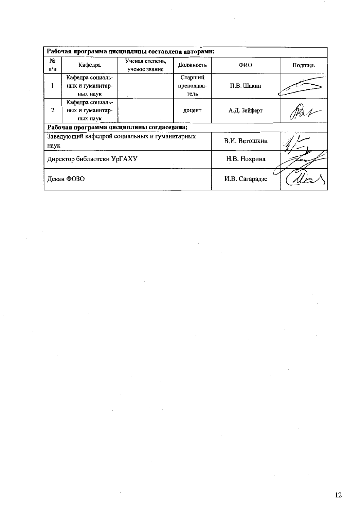| Рабочая программа дисциплины составлена авторами: |                                               |                                  |                    |               |         |  |  |
|---------------------------------------------------|-----------------------------------------------|----------------------------------|--------------------|---------------|---------|--|--|
| No<br>п/п                                         | Кафедра                                       | Ученая степень,<br>ученое звание | Должность          | ФИО           | Подпись |  |  |
|                                                   | Кафедра социаль-                              |                                  | Старший            |               |         |  |  |
|                                                   | ных и гуманитар-<br>ных наук                  |                                  | преподава-<br>тель | П.В. Шакин    |         |  |  |
|                                                   | Кафедра социаль-                              |                                  |                    |               |         |  |  |
| 2                                                 | ных и гуманитар-<br>ных наук                  |                                  | доцент             | А.Д. Зейферт  |         |  |  |
|                                                   | Рабочая программа дисциплины согласована:     |                                  |                    |               |         |  |  |
| наук                                              | Заведующий кафедрой социальных и гуманитарных |                                  |                    | В.И. Ветошкин |         |  |  |
| Директор библиотеки УрГАХУ                        |                                               |                                  |                    | Н.В. Нохрина  |         |  |  |
|                                                   | Декан ФОЗО                                    |                                  | И.В. Сагарадзе     |               |         |  |  |